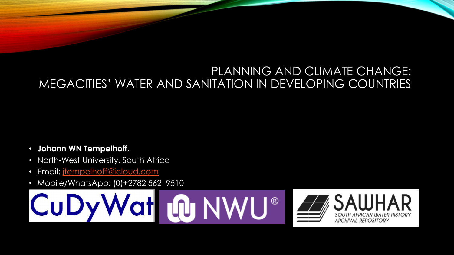#### PLANNING AND CLIMATE CHANGE: MEGACITIES' WATER AND SANITATION IN DEVELOPING COUNTRIES

- **Johann WN Tempelhoff**,
- North-West University, South Africa
- Email: *jtempelhoff@icloud.com*
- Mobile/WhatsApp: (0)+2782 562 9510



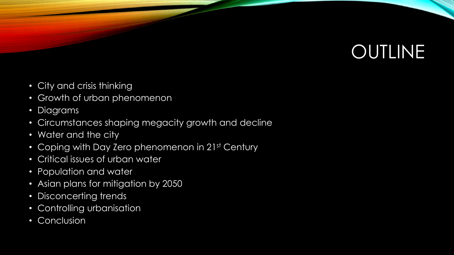# **OUTLINE**

- City and crisis thinking
- Growth of urban phenomenon
- Diagrams
- Circumstances shaping megacity growth and decline
- Water and the city
- Coping with Day Zero phenomenon in 21st Century
- Critical issues of urban water
- Population and water
- Asian plans for mitigation by 2050
- Disconcerting trends
- Controlling urbanisation
- Conclusion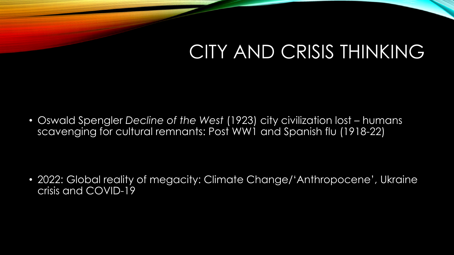#### CITY AND CRISIS THINKING

• Oswald Spengler *Decline of the West* (1923) city civilization lost – humans scavenging for cultural remnants: Post WW1 and Spanish flu (1918-22)

• 2022: Global reality of megacity: Climate Change/'Anthropocene', Ukraine crisis and COVID-19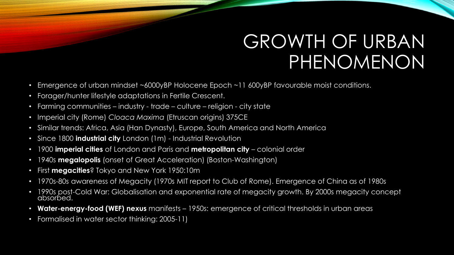#### GROWTH OF URBAN PHENOMENON

- Emergence of urban mindset ~6000yBP Holocene Epoch ~11 600yBP favourable moist conditions.
- Forager/hunter lifestyle adaptations in Fertile Crescent.
- Farming communities industry trade culture religion city state
- Imperial city (Rome) *Cloaca Maxima* (Etruscan origins) 375CE
- Similar trends: Africa, Asia (Han Dynasty), Europe, South America and North America
- Since 1800 **industrial city** London (1m) Industrial Revolution
- 1900 **imperial cities** of London and Paris and **metropolitan city** colonial order
- 1940s **megalopolis** (onset of Great Acceleration) (Boston-Washington)
- First **megacities**? Tokyo and New York 1950:10m
- 1970s-80s awareness of Megacity (1970s MIT report to Club of Rome). Emergence of China as of 1980s
- 1990s post-Cold War: Globalisation and exponential rate of megacity growth. By 2000s megacity concept<br>absorbed.
- **Water-energy-food (WEF) nexus** manifests 1950s: emergence of critical thresholds in urban areas
- Formalised in water sector thinking: 2005-11)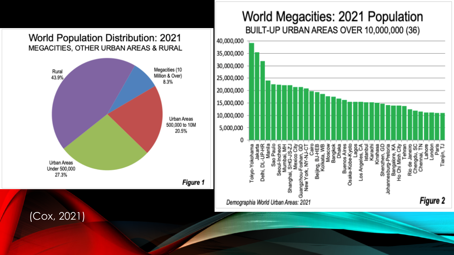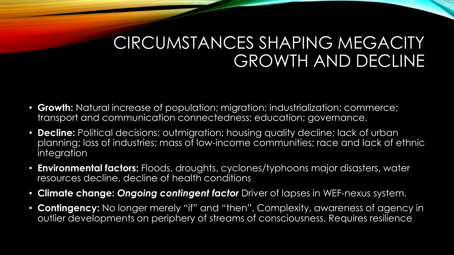#### CIRCUMSTANCES SHAPING MEGACITY GROWTH AND DECLINE

- **Growth:** Natural increase of population; migration; industrialization; commerce; transport and communication connectedness; education; governance.
- **Decline:** Political decisions; outmigration; housing quality decline; lack of urban planning; loss of industries; mass of low-income communities; race and lack of ethnic integration
- **Environmental factors:** Floods, droughts, cyclones/typhoons major disasters, water resources decline, decline of health conditions
- **Climate change:** *Ongoing contingent factor* Driver of lapses in WEF-nexus system.
- **Contingency:** No longer merely "if" and "then". Complexity, awareness of agency in outlier developments on periphery of streams of consciousness. Requires resilience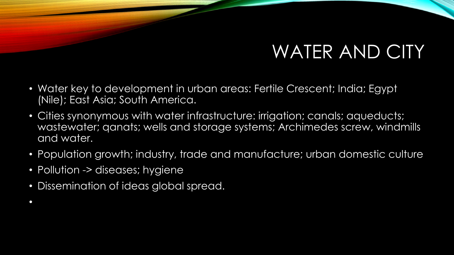## WATER AND CITY

- Water key to development in urban areas: Fertile Crescent; India; Egypt (Nile); East Asia; South America.
- Cities synonymous with water infrastructure: irrigation; canals; aqueducts; wastewater; qanats; wells and storage systems; Archimedes screw, windmills and water.
- Population growth; industry, trade and manufacture; urban domestic culture
- Pollution -> diseases; hygiene

•

• Dissemination of ideas global spread.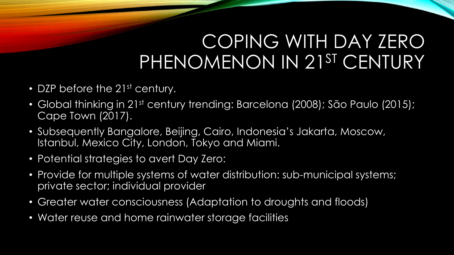#### COPING WITH DAY ZERO PHENOMENON IN 21ST CENTURY

- DZP before the 21<sup>st</sup> century.
- Global thinking in 21st century trending: Barcelona (2008); São Paulo (2015); Cape Town (2017).
- Subsequently Bangalore, Beijing, Cairo, Indonesia's Jakarta, Moscow, Istanbul, Mexico City, London, Tokyo and Miami.
- Potential strategies to avert Day Zero:
- Provide for multiple systems of water distribution: sub-municipal systems; private sector; individual provider
- Greater water consciousness (Adaptation to droughts and floods)
- Water reuse and home rainwater storage facilities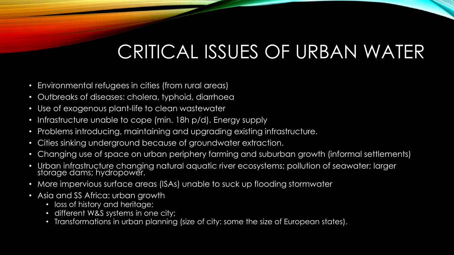## CRITICAL ISSUES OF URBAN WATER

- Environmental refugees in cities (from rural areas)
- Outbreaks of diseases: cholera, typhoid, diarrhoea
- Use of exogenous plant-life to clean wastewater
- Infrastructure unable to cope (min. 18h p/d). Energy supply
- Problems introducing, maintaining and upgrading existing infrastructure.
- Cities sinking underground because of groundwater extraction.
- Changing use of space on urban periphery farming and suburban growth (informal settlements)
- Urban infrastructure changing natural aquatic river ecosystems; pollution of seawater; larger storage dams; hydropower.
- More impervious surface areas (ISAs) unable to suck up flooding stormwater
- Asia and SS Africa: urban growth
	- loss of history and heritage;
	- different W&S systems in one city;
	- Transformations in urban planning (size of city: some the size of European states).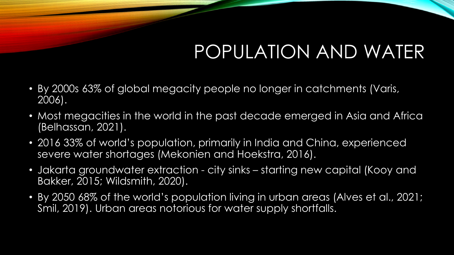## POPULATION AND WATER

- By 2000s 63% of global megacity people no longer in catchments (Varis, 2006).
- Most megacities in the world in the past decade emerged in Asia and Africa (Belhassan, 2021).
- 2016 33% of world's population, primarily in India and China, experienced severe water shortages (Mekonien and Hoekstra, 2016).
- Jakarta groundwater extraction city sinks starting new capital (Kooy and Bakker, 2015; Wildsmith, 2020).
- By 2050 68% of the world's population living in urban areas (Alves et al., 2021; Smil, 2019). Urban areas notorious for water supply shortfalls.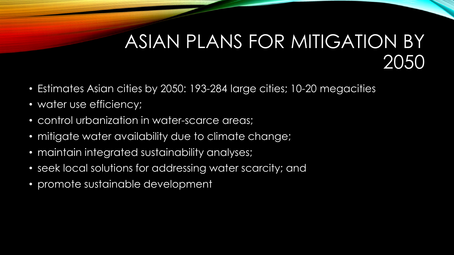#### ASIAN PLANS FOR MITIGATION BY 2050

- Estimates Asian cities by 2050: 193-284 large cities; 10-20 megacities
- water use efficiency;
- control urbanization in water-scarce areas;
- mitigate water availability due to climate change;
- maintain integrated sustainability analyses;
- seek local solutions for addressing water scarcity; and
- promote sustainable development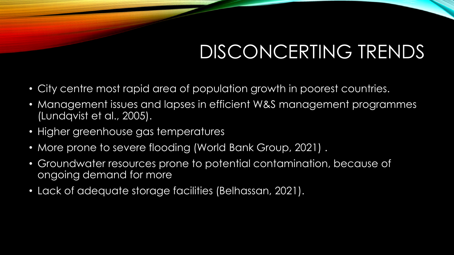## DISCONCERTING TRENDS

- City centre most rapid area of population growth in poorest countries.
- Management issues and lapses in efficient W&S management programmes (Lundqvist et al., 2005).
- Higher greenhouse gas temperatures
- More prone to severe flooding (World Bank Group, 2021) .
- Groundwater resources prone to potential contamination, because of ongoing demand for more
- Lack of adequate storage facilities (Belhassan, 2021).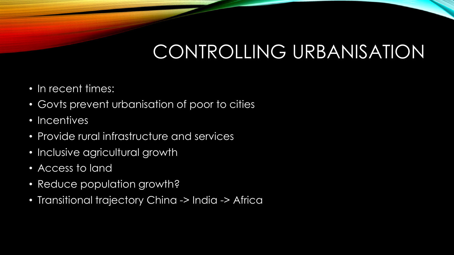## CONTROLLING URBANISATION

- In recent times:
- Govts prevent urbanisation of poor to cities
- Incentives
- Provide rural infrastructure and services
- Inclusive agricultural growth
- Access to land
- Reduce population growth?
- Transitional trajectory China -> India -> Africa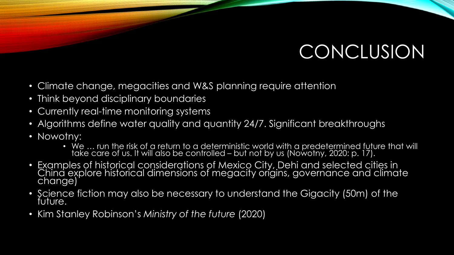## **CONCLUSION**

- Climate change, megacities and W&S planning require attention
- Think beyond disciplinary boundaries
- Currently real-time monitoring systems
- Algorithms define water quality and quantity 24/7. Significant breakthroughs
- Nowotny:
	- We  $\ldots$  run the risk of a return to a deterministic world with a predetermined future that will take care of us. It will also be controlled – but not by us (Nowotny, 2020: p. 17).
- Examples of historical considerations of Mexico City, Dehi and selected cities in , China explore historical dimensions of megacity origins, governance and climate change)
- Science fiction may also be necessary to understand the Gigacity (50m) of the future.
- Kim Stanley Robinson's *Ministry of the future* (2020)